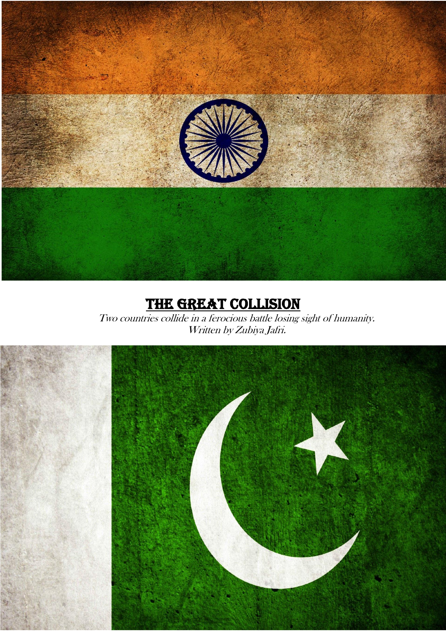

# THE GREAT COLLISION

Two countries collide in a ferocious battle losing sight of humanity. Written by Zubiya Jafri.

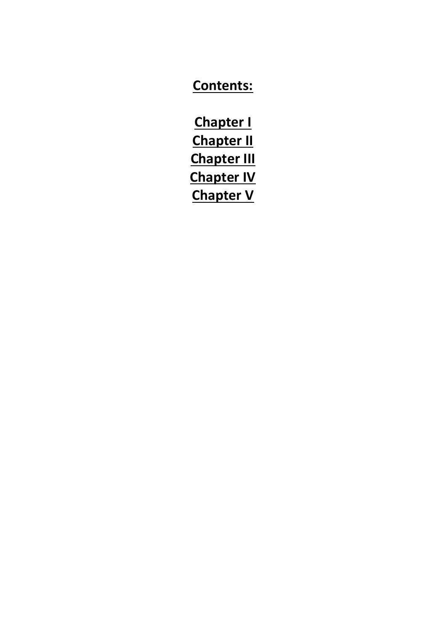## **Contents:**

**Chapter I Chapter II Chapter III Chapter IV Chapter V**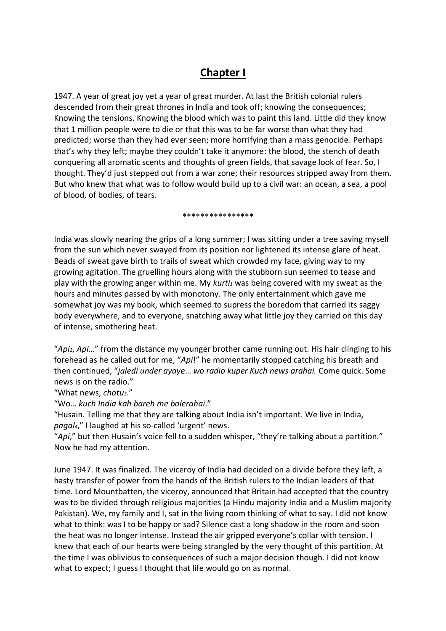### **Chapter I**

1947. A year of great joy yet a year of great murder. At last the British colonial rulers descended from their great thrones in India and took off; knowing the consequences; Knowing the tensions. Knowing the blood which was to paint this land. Little did they know that 1 million people were to die or that this was to be far worse than what they had predicted; worse than they had ever seen; more horrifying than a mass genocide. Perhaps that's why they left; maybe they couldn't take it anymore: the blood, the stench of death conquering all aromatic scents and thoughts of green fields, that savage look of fear. So, I thought. They'd just stepped out from a war zone; their resources stripped away from them. But who knew that what was to follow would build up to a civil war: an ocean, a sea, a pool of blood, of bodies, of tears.

\*\*\*\*\*\*\*\*\*\*\*\*\*\*\*\*

India was slowly nearing the grips of a long summer; I was sitting under a tree saving myself from the sun which never swayed from its position nor lightened its intense glare of heat. Beads of sweat gave birth to trails of sweat which crowded my face, giving way to my growing agitation. The gruelling hours along with the stubborn sun seemed to tease and play with the growing anger within me. My *kurti<sup>1</sup>* was being covered with my sweat as the hours and minutes passed by with monotony. The only entertainment which gave me somewhat joy was my book, which seemed to supress the boredom that carried its saggy body everywhere, and to everyone, snatching away what little joy they carried on this day of intense, smothering heat.

"*Api2*, *Api*…" from the distance my younger brother came running out. His hair clinging to his forehead as he called out for me, "*Api*!" he momentarily stopped catching his breath and then continued, "*jaledi under ayaye*… *wo radio kuper Kuch news arahai.* Come quick. Some news is on the radio."

"What news, *chotu3*."

"Wo… *kuch India kah bareh me bolerahai*."

"Husain. Telling me that they are talking about India isn't important. We live in India, *pagal4*," I laughed at his so-called 'urgent' news.

"*Api*," but then Husain's voice fell to a sudden whisper, "they're talking about a partition." Now he had my attention.

June 1947. It was finalized. The viceroy of India had decided on a divide before they left, a hasty transfer of power from the hands of the British rulers to the Indian leaders of that time. Lord Mountbatten, the viceroy, announced that Britain had accepted that the country was to be divided through religious majorities (a Hindu majority India and a Muslim majority Pakistan). We, my family and I, sat in the living room thinking of what to say. I did not know what to think: was I to be happy or sad? Silence cast a long shadow in the room and soon the heat was no longer intense. Instead the air gripped everyone's collar with tension. I knew that each of our hearts were being strangled by the very thought of this partition. At the time I was oblivious to consequences of such a major decision though. I did not know what to expect; I guess I thought that life would go on as normal.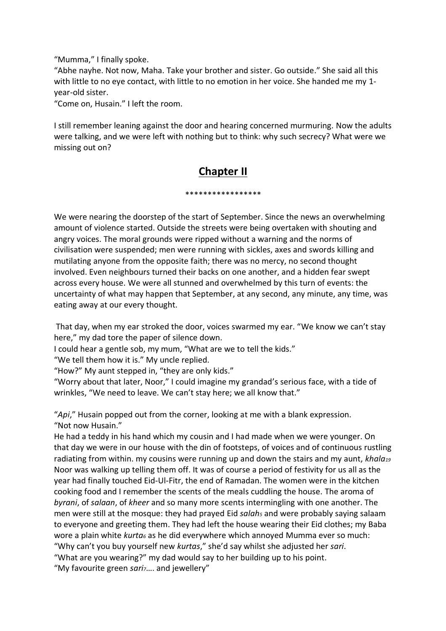"Mumma," I finally spoke.

"Abhe nayhe. Not now, Maha. Take your brother and sister. Go outside." She said all this with little to no eye contact, with little to no emotion in her voice. She handed me my 1 year-old sister.

"Come on, Husain." I left the room.

I still remember leaning against the door and hearing concerned murmuring. Now the adults were talking, and we were left with nothing but to think: why such secrecy? What were we missing out on?

## **Chapter II**

\*\*\*\*\*\*\*\*\*\*\*\*\*\*\*\*\*

We were nearing the doorstep of the start of September. Since the news an overwhelming amount of violence started. Outside the streets were being overtaken with shouting and angry voices. The moral grounds were ripped without a warning and the norms of civilisation were suspended; men were running with sickles, axes and swords killing and mutilating anyone from the opposite faith; there was no mercy, no second thought involved. Even neighbours turned their backs on one another, and a hidden fear swept across every house. We were all stunned and overwhelmed by this turn of events: the uncertainty of what may happen that September, at any second, any minute, any time, was eating away at our every thought.

That day, when my ear stroked the door, voices swarmed my ear. "We know we can't stay here," my dad tore the paper of silence down.

I could hear a gentle sob, my mum, "What are we to tell the kids."

"We tell them how it is." My uncle replied.

"How?" My aunt stepped in, "they are only kids."

"Worry about that later, Noor," I could imagine my grandad's serious face, with a tide of wrinkles, "We need to leave. We can't stay here; we all know that."

"*Api*," Husain popped out from the corner, looking at me with a blank expression. "Not now Husain."

He had a teddy in his hand which my cousin and I had made when we were younger. On that day we were in our house with the din of footsteps, of voices and of continuous rustling radiating from within. my cousins were running up and down the stairs and my aunt, *khala<sup>19</sup>* Noor was walking up telling them off. It was of course a period of festivity for us all as the year had finally touched Eid-Ul-Fitr, the end of Ramadan. The women were in the kitchen cooking food and I remember the scents of the meals cuddling the house. The aroma of *byrani*, of *salaan*, of *kheer* and so many more scents intermingling with one another. The men were still at the mosque: they had prayed Eid *salah<sup>5</sup>* and were probably saying salaam to everyone and greeting them. They had left the house wearing their Eid clothes; my Baba wore a plain white *kurta<sup>6</sup>* as he did everywhere which annoyed Mumma ever so much: "Why can't you buy yourself new *kurtas*," she'd say whilst she adjusted her *sari*. "What are you wearing?" my dad would say to her building up to his point.

"My favourite green *sari7*…. and jewellery"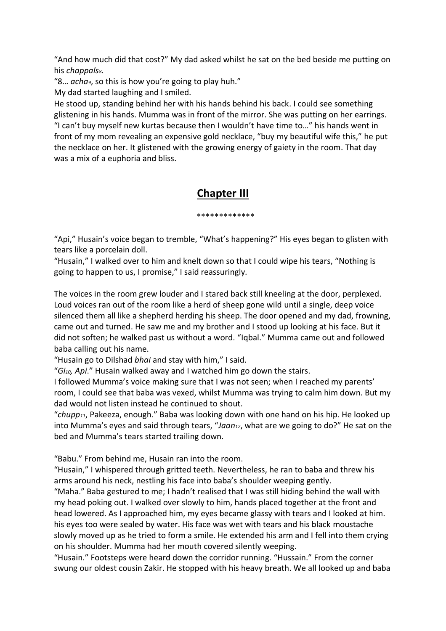"And how much did that cost?" My dad asked whilst he sat on the bed beside me putting on his *chappals8*.

"8… *acha9*, so this is how you're going to play huh."

My dad started laughing and I smiled.

He stood up, standing behind her with his hands behind his back. I could see something glistening in his hands. Mumma was in front of the mirror. She was putting on her earrings. "I can't buy myself new kurtas because then I wouldn't have time to…" his hands went in front of my mom revealing an expensive gold necklace, "buy my beautiful wife this," he put the necklace on her. It glistened with the growing energy of gaiety in the room. That day was a mix of a euphoria and bliss.

## **Chapter III**

\*\*\*\*\*\*\*\*\*\*\*\*\*

"Api," Husain's voice began to tremble, "What's happening?" His eyes began to glisten with tears like a porcelain doll.

"Husain," I walked over to him and knelt down so that I could wipe his tears, "Nothing is going to happen to us, I promise," I said reassuringly.

The voices in the room grew louder and I stared back still kneeling at the door, perplexed. Loud voices ran out of the room like a herd of sheep gone wild until a single, deep voice silenced them all like a shepherd herding his sheep. The door opened and my dad, frowning, came out and turned. He saw me and my brother and I stood up looking at his face. But it did not soften; he walked past us without a word. "Iqbal." Mumma came out and followed baba calling out his name.

"Husain go to Dilshad *bhai* and stay with him," I said.

"*Gi10, Api*." Husain walked away and I watched him go down the stairs.

I followed Mumma's voice making sure that I was not seen; when I reached my parents' room, I could see that baba was vexed, whilst Mumma was trying to calm him down. But my dad would not listen instead he continued to shout.

"*chupp11*, Pakeeza, enough." Baba was looking down with one hand on his hip. He looked up into Mumma's eyes and said through tears, "*Jaan12*, what are we going to do?" He sat on the bed and Mumma's tears started trailing down.

"Babu." From behind me, Husain ran into the room.

"Husain," I whispered through gritted teeth. Nevertheless, he ran to baba and threw his arms around his neck, nestling his face into baba's shoulder weeping gently.

"Maha." Baba gestured to me; I hadn't realised that I was still hiding behind the wall with my head poking out. I walked over slowly to him, hands placed together at the front and head lowered. As I approached him, my eyes became glassy with tears and I looked at him. his eyes too were sealed by water. His face was wet with tears and his black moustache slowly moved up as he tried to form a smile. He extended his arm and I fell into them crying on his shoulder. Mumma had her mouth covered silently weeping.

"Husain." Footsteps were heard down the corridor running. "Hussain." From the corner swung our oldest cousin Zakir. He stopped with his heavy breath. We all looked up and baba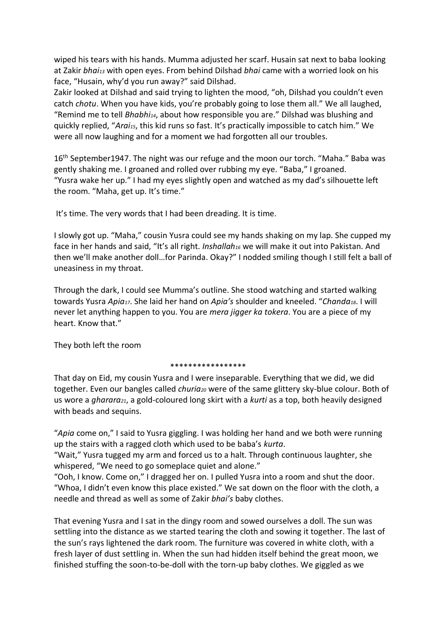wiped his tears with his hands. Mumma adjusted her scarf. Husain sat next to baba looking at Zakir *bhai<sup>13</sup>* with open eyes. From behind Dilshad *bhai* came with a worried look on his face, "Husain, why'd you run away?" said Dilshad.

Zakir looked at Dilshad and said trying to lighten the mood, "oh, Dilshad you couldn't even catch *chotu*. When you have kids, you're probably going to lose them all." We all laughed, "Remind me to tell *Bhabhi14*, about how responsible you are." Dilshad was blushing and quickly replied, "*Arai15*, this kid runs so fast. It's practically impossible to catch him." We were all now laughing and for a moment we had forgotten all our troubles.

16<sup>th</sup> September1947. The night was our refuge and the moon our torch. "Maha." Baba was gently shaking me. I groaned and rolled over rubbing my eye. "Baba," I groaned. "Yusra wake her up." I had my eyes slightly open and watched as my dad's silhouette left the room. "Maha, get up. It's time."

It's time. The very words that I had been dreading. It is time.

I slowly got up. "Maha," cousin Yusra could see my hands shaking on my lap. She cupped my face in her hands and said, "It's all right. *Inshallah<sup>16</sup>* we will make it out into Pakistan. And then we'll make another doll…for Parinda. Okay?" I nodded smiling though I still felt a ball of uneasiness in my throat.

Through the dark, I could see Mumma's outline. She stood watching and started walking towards Yusra *Apia17*. She laid her hand on *Apia's* shoulder and kneeled. "*Chanda18*. I will never let anything happen to you. You are *mera jigger ka tokera*. You are a piece of my heart. Know that."

They both left the room

#### \*\*\*\*\*\*\*\*\*\*\*\*\*\*\*\*\*

That day on Eid, my cousin Yusra and I were inseparable. Everything that we did, we did together. Even our bangles called *churia<sup>20</sup>* were of the same glittery sky-blue colour. Both of us wore a *gharara21*, a gold-coloured long skirt with a *kurti* as a top, both heavily designed with beads and sequins.

"*Apia* come on," I said to Yusra giggling. I was holding her hand and we both were running up the stairs with a ragged cloth which used to be baba's *kurta*.

"Wait," Yusra tugged my arm and forced us to a halt. Through continuous laughter, she whispered, "We need to go someplace quiet and alone."

"Ooh, I know. Come on," I dragged her on. I pulled Yusra into a room and shut the door. "Whoa, I didn't even know this place existed." We sat down on the floor with the cloth, a needle and thread as well as some of Zakir *bhai's* baby clothes.

That evening Yusra and I sat in the dingy room and sowed ourselves a doll. The sun was settling into the distance as we started tearing the cloth and sowing it together. The last of the sun's rays lightened the dark room. The furniture was covered in white cloth, with a fresh layer of dust settling in. When the sun had hidden itself behind the great moon, we finished stuffing the soon-to-be-doll with the torn-up baby clothes. We giggled as we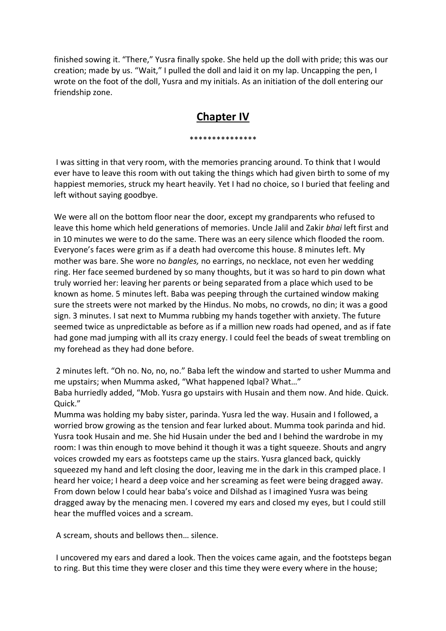finished sowing it. "There," Yusra finally spoke. She held up the doll with pride; this was our creation; made by us. "Wait," I pulled the doll and laid it on my lap. Uncapping the pen, I wrote on the foot of the doll, Yusra and my initials. As an initiation of the doll entering our friendship zone.

### **Chapter IV**

\*\*\*\*\*\*\*\*\*\*\*\*\*\*\*

I was sitting in that very room, with the memories prancing around. To think that I would ever have to leave this room with out taking the things which had given birth to some of my happiest memories, struck my heart heavily. Yet I had no choice, so I buried that feeling and left without saying goodbye.

We were all on the bottom floor near the door, except my grandparents who refused to leave this home which held generations of memories. Uncle Jalil and Zakir *bhai* left first and in 10 minutes we were to do the same. There was an eery silence which flooded the room. Everyone's faces were grim as if a death had overcome this house. 8 minutes left. My mother was bare. She wore no *bangles,* no earrings, no necklace, not even her wedding ring. Her face seemed burdened by so many thoughts, but it was so hard to pin down what truly worried her: leaving her parents or being separated from a place which used to be known as home. 5 minutes left. Baba was peeping through the curtained window making sure the streets were not marked by the Hindus. No mobs, no crowds, no din; it was a good sign. 3 minutes. I sat next to Mumma rubbing my hands together with anxiety. The future seemed twice as unpredictable as before as if a million new roads had opened, and as if fate had gone mad jumping with all its crazy energy. I could feel the beads of sweat trembling on my forehead as they had done before.

2 minutes left. "Oh no. No, no, no." Baba left the window and started to usher Mumma and me upstairs; when Mumma asked, "What happened Iqbal? What…"

Baba hurriedly added, "Mob. Yusra go upstairs with Husain and them now. And hide. Quick. Quick."

Mumma was holding my baby sister, parinda. Yusra led the way. Husain and I followed, a worried brow growing as the tension and fear lurked about. Mumma took parinda and hid. Yusra took Husain and me. She hid Husain under the bed and I behind the wardrobe in my room: I was thin enough to move behind it though it was a tight squeeze. Shouts and angry voices crowded my ears as footsteps came up the stairs. Yusra glanced back, quickly squeezed my hand and left closing the door, leaving me in the dark in this cramped place. I heard her voice; I heard a deep voice and her screaming as feet were being dragged away. From down below I could hear baba's voice and Dilshad as I imagined Yusra was being dragged away by the menacing men. I covered my ears and closed my eyes, but I could still hear the muffled voices and a scream.

A scream, shouts and bellows then… silence.

I uncovered my ears and dared a look. Then the voices came again, and the footsteps began to ring. But this time they were closer and this time they were every where in the house;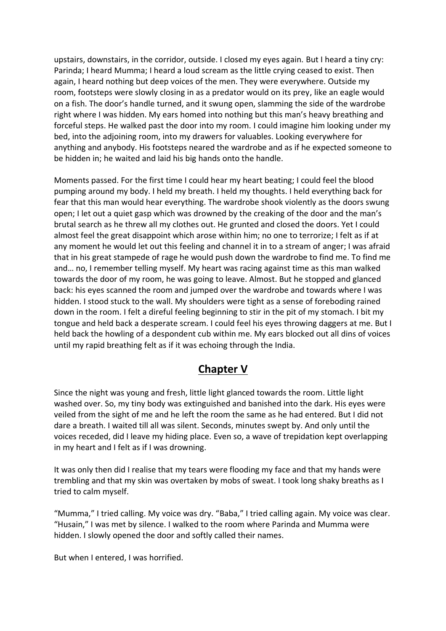upstairs, downstairs, in the corridor, outside. I closed my eyes again. But I heard a tiny cry: Parinda; I heard Mumma; I heard a loud scream as the little crying ceased to exist. Then again, I heard nothing but deep voices of the men. They were everywhere. Outside my room, footsteps were slowly closing in as a predator would on its prey, like an eagle would on a fish. The door's handle turned, and it swung open, slamming the side of the wardrobe right where I was hidden. My ears homed into nothing but this man's heavy breathing and forceful steps. He walked past the door into my room. I could imagine him looking under my bed, into the adjoining room, into my drawers for valuables. Looking everywhere for anything and anybody. His footsteps neared the wardrobe and as if he expected someone to be hidden in; he waited and laid his big hands onto the handle.

Moments passed. For the first time I could hear my heart beating; I could feel the blood pumping around my body. I held my breath. I held my thoughts. I held everything back for fear that this man would hear everything. The wardrobe shook violently as the doors swung open; I let out a quiet gasp which was drowned by the creaking of the door and the man's brutal search as he threw all my clothes out. He grunted and closed the doors. Yet I could almost feel the great disappoint which arose within him; no one to terrorize; I felt as if at any moment he would let out this feeling and channel it in to a stream of anger; I was afraid that in his great stampede of rage he would push down the wardrobe to find me. To find me and… no, I remember telling myself. My heart was racing against time as this man walked towards the door of my room, he was going to leave. Almost. But he stopped and glanced back: his eyes scanned the room and jumped over the wardrobe and towards where I was hidden. I stood stuck to the wall. My shoulders were tight as a sense of foreboding rained down in the room. I felt a direful feeling beginning to stir in the pit of my stomach. I bit my tongue and held back a desperate scream. I could feel his eyes throwing daggers at me. But I held back the howling of a despondent cub within me. My ears blocked out all dins of voices until my rapid breathing felt as if it was echoing through the India.

### **Chapter V**

Since the night was young and fresh, little light glanced towards the room. Little light washed over. So, my tiny body was extinguished and banished into the dark. His eyes were veiled from the sight of me and he left the room the same as he had entered. But I did not dare a breath. I waited till all was silent. Seconds, minutes swept by. And only until the voices receded, did I leave my hiding place. Even so, a wave of trepidation kept overlapping in my heart and I felt as if I was drowning.

It was only then did I realise that my tears were flooding my face and that my hands were trembling and that my skin was overtaken by mobs of sweat. I took long shaky breaths as I tried to calm myself.

"Mumma," I tried calling. My voice was dry. "Baba," I tried calling again. My voice was clear. "Husain," I was met by silence. I walked to the room where Parinda and Mumma were hidden. I slowly opened the door and softly called their names.

But when I entered, I was horrified.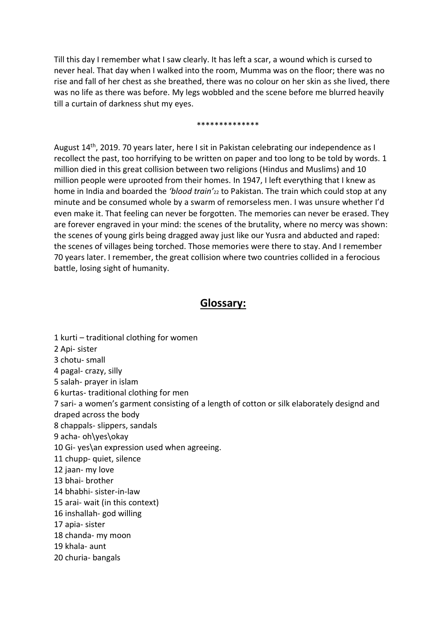Till this day I remember what I saw clearly. It has left a scar, a wound which is cursed to never heal. That day when I walked into the room, Mumma was on the floor; there was no rise and fall of her chest as she breathed, there was no colour on her skin as she lived, there was no life as there was before. My legs wobbled and the scene before me blurred heavily till a curtain of darkness shut my eyes.

#### \*\*\*\*\*\*\*\*\*\*\*\*\*\*

August 14<sup>th</sup>, 2019. 70 years later, here I sit in Pakistan celebrating our independence as I recollect the past, too horrifying to be written on paper and too long to be told by words. 1 million died in this great collision between two religions (Hindus and Muslims) and 10 million people were uprooted from their homes. In 1947, I left everything that I knew as home in India and boarded the *'blood train'*<sup>22</sup> to Pakistan. The train which could stop at any minute and be consumed whole by a swarm of remorseless men. I was unsure whether I'd even make it. That feeling can never be forgotten. The memories can never be erased. They are forever engraved in your mind: the scenes of the brutality, where no mercy was shown: the scenes of young girls being dragged away just like our Yusra and abducted and raped: the scenes of villages being torched. Those memories were there to stay. And I remember 70 years later. I remember, the great collision where two countries collided in a ferocious battle, losing sight of humanity.

### **Glossary:**

1 kurti – traditional clothing for women 2 Api- sister 3 chotu- small 4 pagal- crazy, silly 5 salah- prayer in islam 6 kurtas- traditional clothing for men 7 sari- a women's garment consisting of a length of cotton or silk elaborately designd and draped across the body 8 chappals- slippers, sandals 9 acha- oh\yes\okay 10 Gi- yes\an expression used when agreeing. 11 chupp- quiet, silence 12 jaan- my love 13 bhai- brother 14 bhabhi- sister-in-law 15 arai- wait (in this context) 16 inshallah- god willing 17 apia- sister 18 chanda- my moon 19 khala- aunt 20 churia- bangals